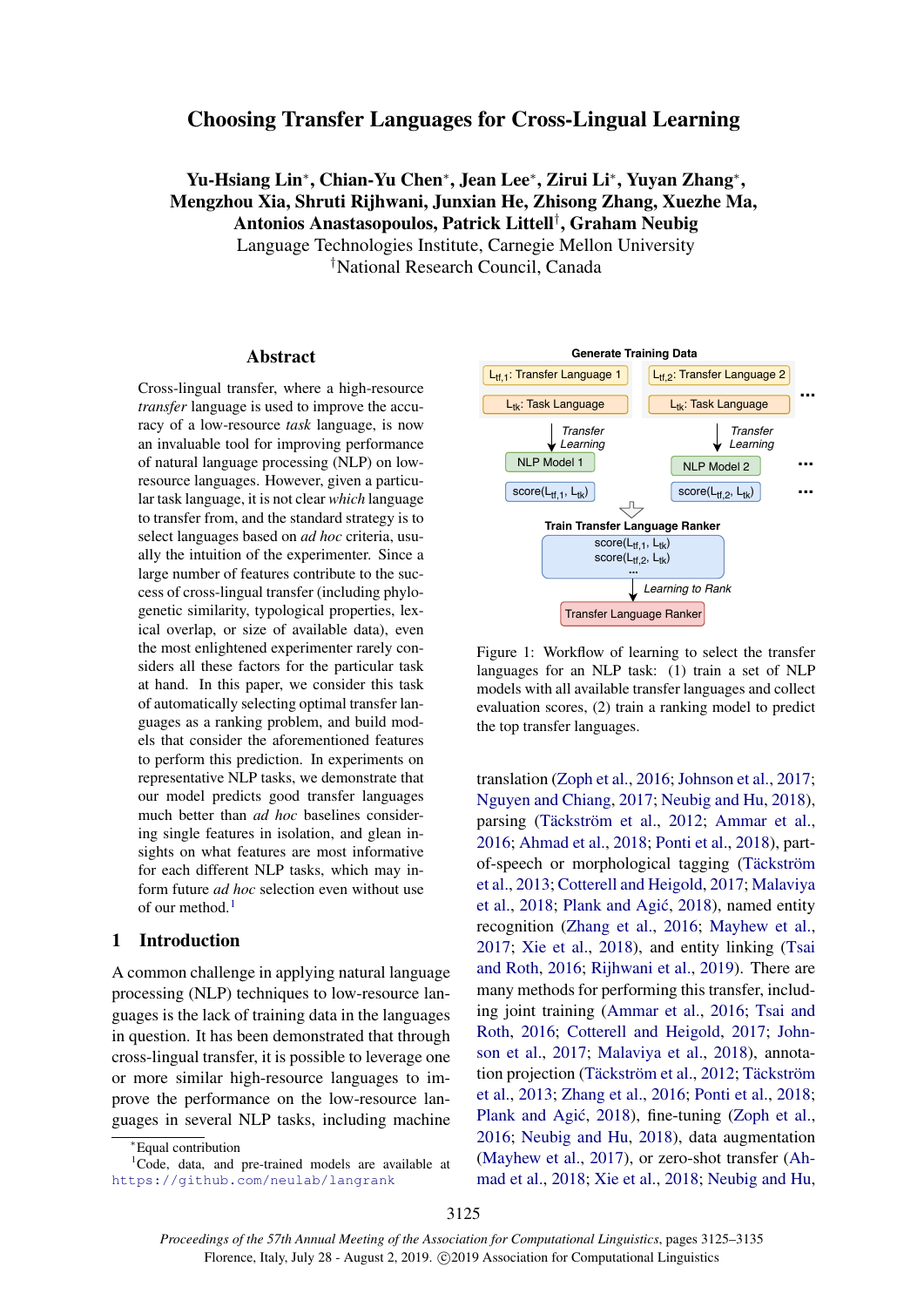## Choosing Transfer Languages for Cross-Lingual Learning

# Yu-Hsiang Lin<sup>∗</sup> , Chian-Yu Chen<sup>∗</sup> , Jean Lee<sup>∗</sup> , Zirui Li<sup>∗</sup> , Yuyan Zhang<sup>∗</sup> , Mengzhou Xia, Shruti Rijhwani, Junxian He, Zhisong Zhang, Xuezhe Ma, Antonios Anastasopoulos, Patrick Littell† , Graham Neubig

Language Technologies Institute, Carnegie Mellon University †National Research Council, Canada

#### Abstract

Cross-lingual transfer, where a high-resource *transfer* language is used to improve the accuracy of a low-resource *task* language, is now an invaluable tool for improving performance of natural language processing (NLP) on lowresource languages. However, given a particular task language, it is not clear *which* language to transfer from, and the standard strategy is to select languages based on *ad hoc* criteria, usually the intuition of the experimenter. Since a large number of features contribute to the success of cross-lingual transfer (including phylogenetic similarity, typological properties, lexical overlap, or size of available data), even the most enlightened experimenter rarely considers all these factors for the particular task at hand. In this paper, we consider this task of automatically selecting optimal transfer languages as a ranking problem, and build models that consider the aforementioned features to perform this prediction. In experiments on representative NLP tasks, we demonstrate that our model predicts good transfer languages much better than *ad hoc* baselines considering single features in isolation, and glean insights on what features are most informative for each different NLP tasks, which may inform future *ad hoc* selection even without use of our method[.](#page-0-0) $<sup>1</sup>$  $<sup>1</sup>$  $<sup>1</sup>$ </sup>

#### <span id="page-0-2"></span>1 Introduction

A common challenge in applying natural language processing (NLP) techniques to low-resource languages is the lack of training data in the languages in question. It has been demonstrated that through cross-lingual transfer, it is possible to leverage one or more similar high-resource languages to improve the performance on the low-resource languages in several NLP tasks, including machine



Figure 1: Workflow of learning to select the transfer languages for an NLP task: (1) train a set of NLP models with all available transfer languages and collect evaluation scores, (2) train a ranking model to predict the top transfer languages.

translation [\(Zoph et al.,](#page-10-0) [2016;](#page-10-0) [Johnson et al.,](#page-8-0) [2017;](#page-8-0) [Nguyen and Chiang,](#page-9-0) [2017;](#page-9-0) [Neubig and Hu,](#page-9-1) [2018\)](#page-9-1), parsing (Täckström et al., [2012;](#page-10-1) [Ammar et al.,](#page-8-1) [2016;](#page-8-1) [Ahmad et al.,](#page-8-2) [2018;](#page-8-2) [Ponti et al.,](#page-9-2) [2018\)](#page-9-2), partof-speech or morphological tagging (Täckström [et al.,](#page-10-2) [2013;](#page-10-2) [Cotterell and Heigold,](#page-8-3) [2017;](#page-8-3) [Malaviya](#page-9-3) [et al.,](#page-9-3) [2018;](#page-9-3) Plank and Agić, [2018\)](#page-9-4), named entity recognition [\(Zhang et al.,](#page-10-3) [2016;](#page-10-3) [Mayhew et al.,](#page-9-5) [2017;](#page-9-5) [Xie et al.,](#page-10-4) [2018\)](#page-10-4), and entity linking [\(Tsai](#page-10-5) [and Roth,](#page-10-5) [2016;](#page-10-5) [Rijhwani et al.,](#page-9-6) [2019\)](#page-9-6). There are many methods for performing this transfer, including joint training [\(Ammar et al.,](#page-8-1) [2016;](#page-8-1) [Tsai and](#page-10-5) [Roth,](#page-10-5) [2016;](#page-10-5) [Cotterell and Heigold,](#page-8-3) [2017;](#page-8-3) [John](#page-8-0)[son et al.,](#page-8-0) [2017;](#page-8-0) [Malaviya et al.,](#page-9-3) [2018\)](#page-9-3), annota-tion projection (Täckström et al., [2012;](#page-10-1) Täckström [et al.,](#page-10-2) [2013;](#page-10-2) [Zhang et al.,](#page-10-3) [2016;](#page-10-3) [Ponti et al.,](#page-9-2) [2018;](#page-9-2) Plank and Agić, [2018\)](#page-9-4), fine-tuning [\(Zoph et al.,](#page-10-0) [2016;](#page-10-0) [Neubig and Hu,](#page-9-1) [2018\)](#page-9-1), data augmentation [\(Mayhew et al.,](#page-9-5) [2017\)](#page-9-5), or zero-shot transfer [\(Ah](#page-8-2)[mad et al.,](#page-8-2) [2018;](#page-8-2) [Xie et al.,](#page-10-4) [2018;](#page-10-4) [Neubig and Hu,](#page-9-1)

<span id="page-0-1"></span><span id="page-0-0"></span><sup>∗</sup>Equal contribution

<sup>&</sup>lt;sup>1</sup>Code, data, and pre-trained models are available at <https://github.com/neulab/langrank>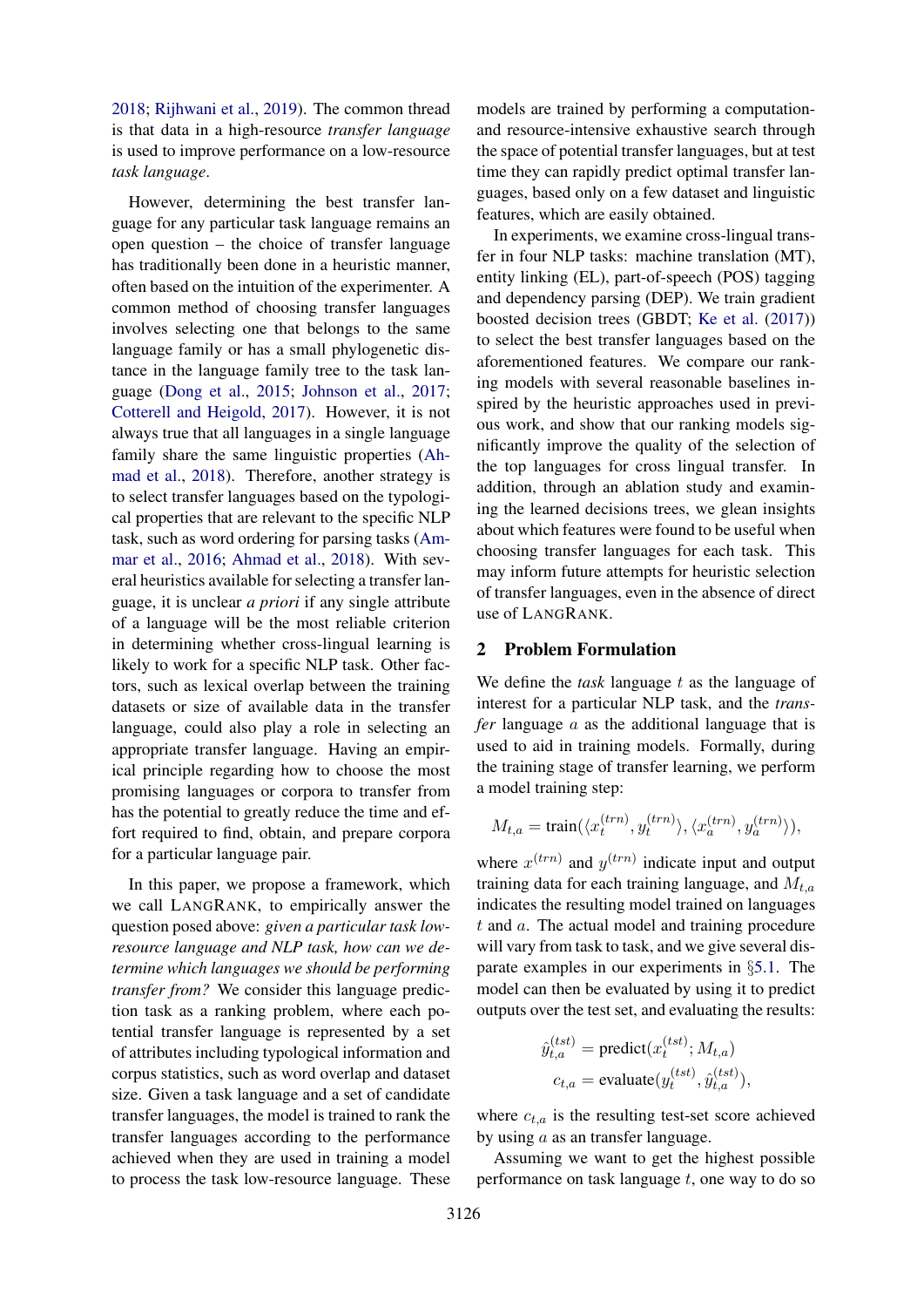[2018;](#page-9-1) [Rijhwani et al.,](#page-9-6) [2019\)](#page-9-6). The common thread is that data in a high-resource *transfer language* is used to improve performance on a low-resource *task language*.

However, determining the best transfer language for any particular task language remains an open question – the choice of transfer language has traditionally been done in a heuristic manner, often based on the intuition of the experimenter. A common method of choosing transfer languages involves selecting one that belongs to the same language family or has a small phylogenetic distance in the language family tree to the task language [\(Dong et al.,](#page-8-4) [2015;](#page-8-4) [Johnson et al.,](#page-8-0) [2017;](#page-8-0) [Cotterell and Heigold,](#page-8-3) [2017\)](#page-8-3). However, it is not always true that all languages in a single language family share the same linguistic properties [\(Ah](#page-8-2)[mad et al.,](#page-8-2) [2018\)](#page-8-2). Therefore, another strategy is to select transfer languages based on the typological properties that are relevant to the specific NLP task, such as word ordering for parsing tasks [\(Am](#page-8-1)[mar et al.,](#page-8-1) [2016;](#page-8-1) [Ahmad et al.,](#page-8-2) [2018\)](#page-8-2). With several heuristics available for selecting a transfer language, it is unclear *a priori* if any single attribute of a language will be the most reliable criterion in determining whether cross-lingual learning is likely to work for a specific NLP task. Other factors, such as lexical overlap between the training datasets or size of available data in the transfer language, could also play a role in selecting an appropriate transfer language. Having an empirical principle regarding how to choose the most promising languages or corpora to transfer from has the potential to greatly reduce the time and effort required to find, obtain, and prepare corpora for a particular language pair.

In this paper, we propose a framework, which we call LANGRANK, to empirically answer the question posed above: *given a particular task lowresource language and NLP task, how can we determine which languages we should be performing transfer from?* We consider this language prediction task as a ranking problem, where each potential transfer language is represented by a set of attributes including typological information and corpus statistics, such as word overlap and dataset size. Given a task language and a set of candidate transfer languages, the model is trained to rank the transfer languages according to the performance achieved when they are used in training a model to process the task low-resource language. These

models are trained by performing a computationand resource-intensive exhaustive search through the space of potential transfer languages, but at test time they can rapidly predict optimal transfer languages, based only on a few dataset and linguistic features, which are easily obtained.

In experiments, we examine cross-lingual transfer in four NLP tasks: machine translation (MT), entity linking (EL), part-of-speech (POS) tagging and dependency parsing (DEP). We train gradient boosted decision trees (GBDT; [Ke et al.](#page-8-5) [\(2017\)](#page-8-5)) to select the best transfer languages based on the aforementioned features. We compare our ranking models with several reasonable baselines inspired by the heuristic approaches used in previous work, and show that our ranking models significantly improve the quality of the selection of the top languages for cross lingual transfer. In addition, through an ablation study and examining the learned decisions trees, we glean insights about which features were found to be useful when choosing transfer languages for each task. This may inform future attempts for heuristic selection of transfer languages, even in the absence of direct use of LANGRANK.

## <span id="page-1-0"></span>2 Problem Formulation

We define the *task* language t as the language of interest for a particular NLP task, and the *transfer* language a as the additional language that is used to aid in training models. Formally, during the training stage of transfer learning, we perform a model training step:

$$
M_{t,a} = \text{train}(\langle x_t^{(trn)}, y_t^{(trn)} \rangle, \langle x_a^{(trn)}, y_a^{(trn)} \rangle),
$$

where  $x^{(trn)}$  and  $y^{(trn)}$  indicate input and output training data for each training language, and  $M_{t,a}$ indicates the resulting model trained on languages  $t$  and  $a$ . The actual model and training procedure will vary from task to task, and we give several disparate examples in our experiments in §[5.1.](#page-3-0) The model can then be evaluated by using it to predict outputs over the test set, and evaluating the results:

$$
\hat{y}_{t,a}^{(tst)} = \text{predict}(x_t^{(tst)}; M_{t,a})
$$
\n
$$
c_{t,a} = \text{evaluate}(y_t^{(tst)}, \hat{y}_{t,a}^{(tst)}),
$$

where  $c_{t,a}$  is the resulting test-set score achieved by using  $a$  as an transfer language.

Assuming we want to get the highest possible performance on task language  $t$ , one way to do so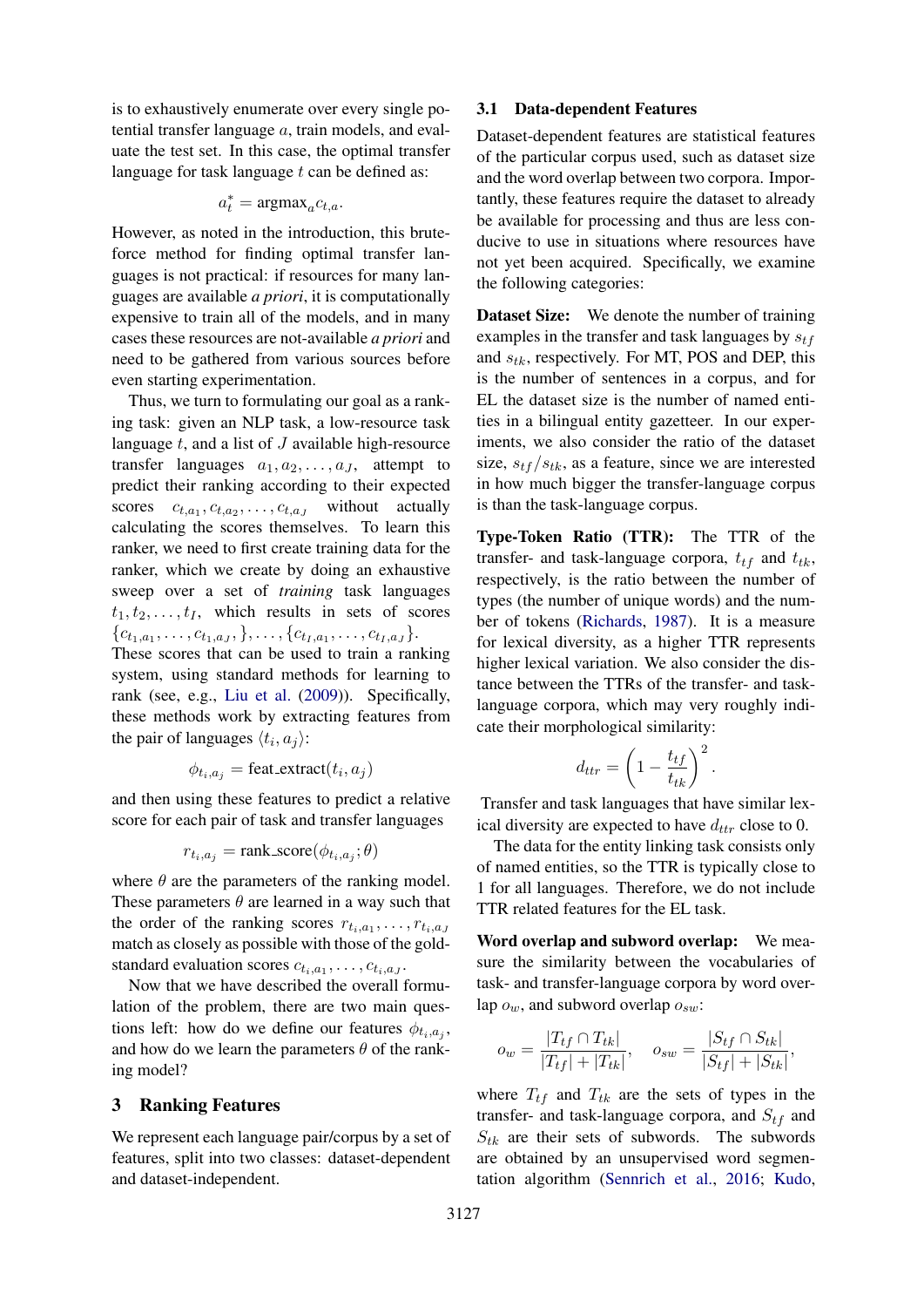is to exhaustively enumerate over every single potential transfer language a, train models, and evaluate the test set. In this case, the optimal transfer language for task language  $t$  can be defined as:

$$
a_t^* = \text{argmax}_a c_{t,a}.
$$

However, as noted in the introduction, this bruteforce method for finding optimal transfer languages is not practical: if resources for many languages are available *a priori*, it is computationally expensive to train all of the models, and in many cases these resources are not-available *a priori* and need to be gathered from various sources before even starting experimentation.

Thus, we turn to formulating our goal as a ranking task: given an NLP task, a low-resource task language  $t$ , and a list of  $J$  available high-resource transfer languages  $a_1, a_2, \ldots, a_J$ , attempt to predict their ranking according to their expected scores  $c_{t,a_1}, c_{t,a_2}, \ldots, c_{t,a_J}$  without actually calculating the scores themselves. To learn this ranker, we need to first create training data for the ranker, which we create by doing an exhaustive sweep over a set of *training* task languages  $t_1, t_2, \ldots, t_I$ , which results in sets of scores  ${c_{t_1,a_1}, \ldots, c_{t_1,a_J}, \ldots, c_{t_I,a_1}, \ldots, c_{t_I,a_J}}.$ 

These scores that can be used to train a ranking system, using standard methods for learning to rank (see, e.g., [Liu et al.](#page-9-7) [\(2009\)](#page-9-7)). Specifically, these methods work by extracting features from the pair of languages  $\langle t_i, a_j \rangle$ :

$$
\phi_{t_i, a_j} = \text{feat\_extract}(t_i, a_j)
$$

and then using these features to predict a relative score for each pair of task and transfer languages

$$
r_{t_i, a_j} = \text{rank\_score}(\phi_{t_i, a_j}; \theta)
$$

where  $\theta$  are the parameters of the ranking model. These parameters  $\theta$  are learned in a way such that the order of the ranking scores  $r_{t_i, a_1}, \ldots, r_{t_i, a_J}$ match as closely as possible with those of the goldstandard evaluation scores  $c_{t_i, a_1}, \ldots, c_{t_i, a_J}$ .

Now that we have described the overall formulation of the problem, there are two main questions left: how do we define our features  $\phi_{t_i, a_j}$ , and how do we learn the parameters  $\theta$  of the ranking model?

## 3 Ranking Features

We represent each language pair/corpus by a set of features, split into two classes: dataset-dependent and dataset-independent.

## 3.1 Data-dependent Features

Dataset-dependent features are statistical features of the particular corpus used, such as dataset size and the word overlap between two corpora. Importantly, these features require the dataset to already be available for processing and thus are less conducive to use in situations where resources have not yet been acquired. Specifically, we examine the following categories:

**Dataset Size:** We denote the number of training examples in the transfer and task languages by  $s_{tf}$ and  $s_{tk}$ , respectively. For MT, POS and DEP, this is the number of sentences in a corpus, and for EL the dataset size is the number of named entities in a bilingual entity gazetteer. In our experiments, we also consider the ratio of the dataset size,  $s_{tf}/s_{tk}$ , as a feature, since we are interested in how much bigger the transfer-language corpus is than the task-language corpus.

Type-Token Ratio (TTR): The TTR of the transfer- and task-language corpora,  $t_{tf}$  and  $t_{tk}$ , respectively, is the ratio between the number of types (the number of unique words) and the number of tokens [\(Richards,](#page-9-8) [1987\)](#page-9-8). It is a measure for lexical diversity, as a higher TTR represents higher lexical variation. We also consider the distance between the TTRs of the transfer- and tasklanguage corpora, which may very roughly indicate their morphological similarity:

$$
d_{ttr} = \left(1 - \frac{t_{tf}}{t_{tk}}\right)^2.
$$

Transfer and task languages that have similar lexical diversity are expected to have  $d_{ttr}$  close to 0.

The data for the entity linking task consists only of named entities, so the TTR is typically close to 1 for all languages. Therefore, we do not include TTR related features for the EL task.

Word overlap and subword overlap: We measure the similarity between the vocabularies of task- and transfer-language corpora by word overlap  $o_w$ , and subword overlap  $o_{sw}$ :

$$
o_w = \frac{|T_{tf} \cap T_{tk}|}{|T_{tf}| + |T_{tk}|}, \quad o_{sw} = \frac{|S_{tf} \cap S_{tk}|}{|S_{tf}| + |S_{tk}|},
$$

where  $T_{tf}$  and  $T_{tk}$  are the sets of types in the transfer- and task-language corpora, and  $S_{tf}$  and  $S_{tk}$  are their sets of subwords. The subwords are obtained by an unsupervised word segmentation algorithm [\(Sennrich et al.,](#page-10-6) [2016;](#page-10-6) [Kudo,](#page-8-6)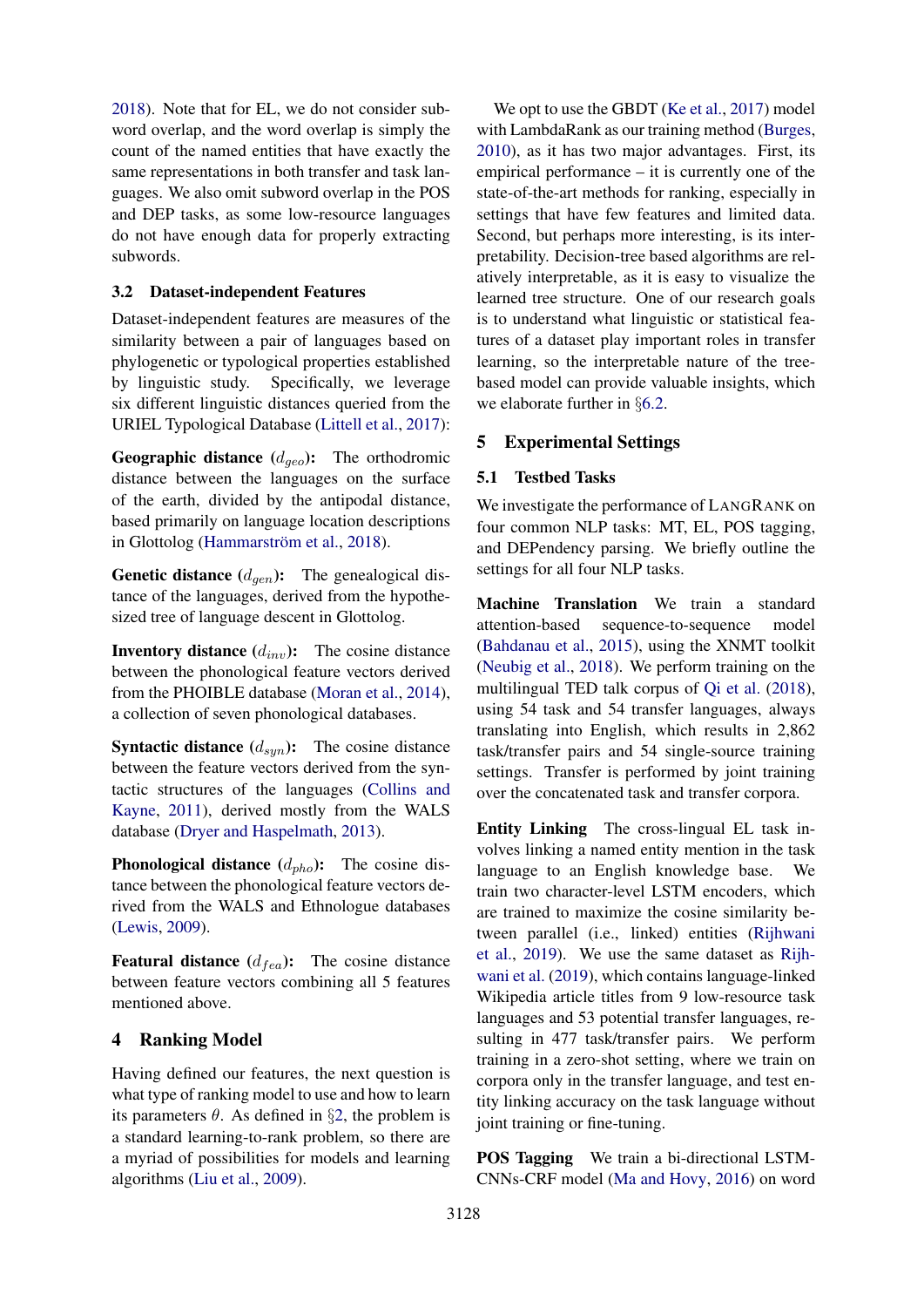[2018\)](#page-8-6). Note that for EL, we do not consider subword overlap, and the word overlap is simply the count of the named entities that have exactly the same representations in both transfer and task languages. We also omit subword overlap in the POS and DEP tasks, as some low-resource languages do not have enough data for properly extracting subwords.

## 3.2 Dataset-independent Features

Dataset-independent features are measures of the similarity between a pair of languages based on phylogenetic or typological properties established by linguistic study. Specifically, we leverage six different linguistic distances queried from the URIEL Typological Database [\(Littell et al.,](#page-8-7) [2017\)](#page-8-7):

**Geographic distance**  $(d_{geo})$ : The orthodromic distance between the languages on the surface of the earth, divided by the antipodal distance, based primarily on language location descriptions in Glottolog (Hammarström et al., [2018\)](#page-8-8).

**Genetic distance**  $(d_{gen})$ : The genealogical distance of the languages, derived from the hypothesized tree of language descent in Glottolog.

**Inventory distance**  $(d_{inv})$ : The cosine distance between the phonological feature vectors derived from the PHOIBLE database [\(Moran et al.,](#page-9-9) [2014\)](#page-9-9), a collection of seven phonological databases.

**Syntactic distance**  $(d_{syn})$ : The cosine distance between the feature vectors derived from the syntactic structures of the languages [\(Collins and](#page-8-9) [Kayne,](#page-8-9) [2011\)](#page-8-9), derived mostly from the WALS database [\(Dryer and Haspelmath,](#page-8-10) [2013\)](#page-8-10).

**Phonological distance**  $(d_{pho})$ : The cosine distance between the phonological feature vectors derived from the WALS and Ethnologue databases [\(Lewis,](#page-8-11) [2009\)](#page-8-11).

**Featural distance**  $(d_{fea})$ : The cosine distance between feature vectors combining all 5 features mentioned above.

## 4 Ranking Model

Having defined our features, the next question is what type of ranking model to use and how to learn its parameters  $\theta$ . As defined in §[2,](#page-1-0) the problem is a standard learning-to-rank problem, so there are a myriad of possibilities for models and learning algorithms [\(Liu et al.,](#page-9-7) [2009\)](#page-9-7).

We opt to use the GBDT [\(Ke et al.,](#page-8-5) [2017\)](#page-8-5) model with LambdaRank as our training method [\(Burges,](#page-8-12) [2010\)](#page-8-12), as it has two major advantages. First, its empirical performance – it is currently one of the state-of-the-art methods for ranking, especially in settings that have few features and limited data. Second, but perhaps more interesting, is its interpretability. Decision-tree based algorithms are relatively interpretable, as it is easy to visualize the learned tree structure. One of our research goals is to understand what linguistic or statistical features of a dataset play important roles in transfer learning, so the interpretable nature of the treebased model can provide valuable insights, which we elaborate further in §[6.2.](#page-6-0)

## 5 Experimental Settings

#### <span id="page-3-0"></span>5.1 Testbed Tasks

We investigate the performance of LANGRANK on four common NLP tasks: MT, EL, POS tagging, and DEPendency parsing. We briefly outline the settings for all four NLP tasks.

Machine Translation We train a standard attention-based sequence-to-sequence model [\(Bahdanau et al.,](#page-8-13) [2015\)](#page-8-13), using the XNMT toolkit [\(Neubig et al.,](#page-9-10) [2018\)](#page-9-10). We perform training on the multilingual TED talk corpus of [Qi et al.](#page-9-11) [\(2018\)](#page-9-11), using 54 task and 54 transfer languages, always translating into English, which results in 2,862 task/transfer pairs and 54 single-source training settings. Transfer is performed by joint training over the concatenated task and transfer corpora.

Entity Linking The cross-lingual EL task involves linking a named entity mention in the task language to an English knowledge base. We train two character-level LSTM encoders, which are trained to maximize the cosine similarity between parallel (i.e., linked) entities [\(Rijhwani](#page-9-6) [et al.,](#page-9-6) [2019\)](#page-9-6). We use the same dataset as [Rijh](#page-9-6)[wani et al.](#page-9-6) [\(2019\)](#page-9-6), which contains language-linked Wikipedia article titles from 9 low-resource task languages and 53 potential transfer languages, resulting in 477 task/transfer pairs. We perform training in a zero-shot setting, where we train on corpora only in the transfer language, and test entity linking accuracy on the task language without joint training or fine-tuning.

POS Tagging We train a bi-directional LSTM-CNNs-CRF model [\(Ma and Hovy,](#page-9-12) [2016\)](#page-9-12) on word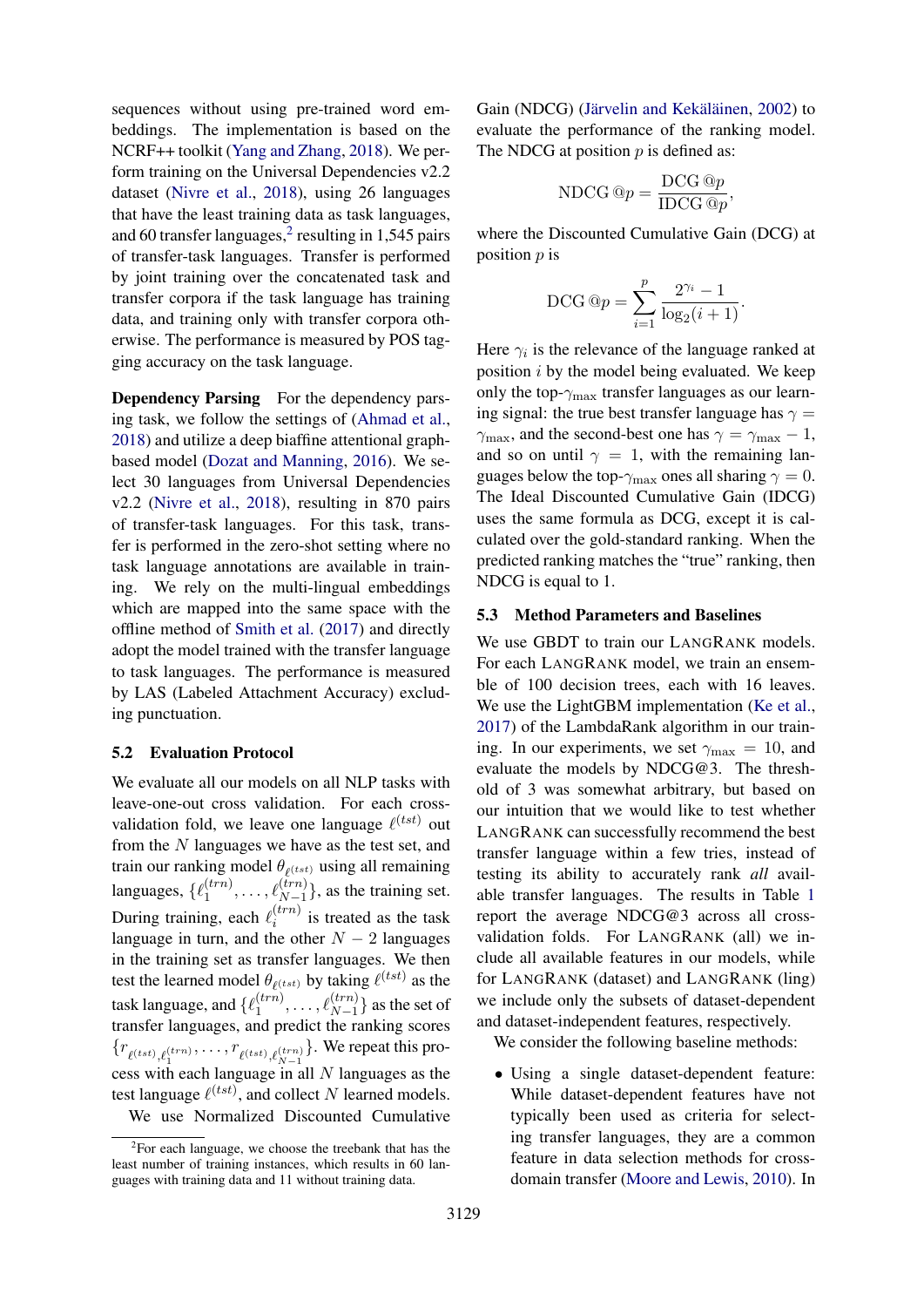sequences without using pre-trained word embeddings. The implementation is based on the NCRF++ toolkit [\(Yang and Zhang,](#page-10-7) [2018\)](#page-10-7). We perform training on the Universal Dependencies v2.2 dataset [\(Nivre et al.,](#page-9-13) [2018\)](#page-9-13), using 26 languages that have the least training data as task languages, and 60 transfer languages, $<sup>2</sup>$  $<sup>2</sup>$  $<sup>2</sup>$  resulting in 1,545 pairs</sup> of transfer-task languages. Transfer is performed by joint training over the concatenated task and transfer corpora if the task language has training data, and training only with transfer corpora otherwise. The performance is measured by POS tagging accuracy on the task language.

Dependency Parsing For the dependency parsing task, we follow the settings of [\(Ahmad et al.,](#page-8-2) [2018\)](#page-8-2) and utilize a deep biaffine attentional graphbased model [\(Dozat and Manning,](#page-8-14) [2016\)](#page-8-14). We select 30 languages from Universal Dependencies v2.2 [\(Nivre et al.,](#page-9-13) [2018\)](#page-9-13), resulting in 870 pairs of transfer-task languages. For this task, transfer is performed in the zero-shot setting where no task language annotations are available in training. We rely on the multi-lingual embeddings which are mapped into the same space with the offline method of [Smith et al.](#page-10-8) [\(2017\)](#page-10-8) and directly adopt the model trained with the transfer language to task languages. The performance is measured by LAS (Labeled Attachment Accuracy) excluding punctuation.

#### 5.2 Evaluation Protocol

We evaluate all our models on all NLP tasks with leave-one-out cross validation. For each crossvalidation fold, we leave one language  $\ell^{(tst)}$  out from the  $N$  languages we have as the test set, and train our ranking model  $\theta_{\ell(tst)}$  using all remaining languages,  $\{\ell_1^{(trn)}\}$  $\binom{(trn)}{1}, \ldots, \ell_{N-1}^{(trn)}$ , as the training set. During training, each  $\ell_i^{(trn)}$  $i^{(i\tau\tau i)}$  is treated as the task language in turn, and the other  $N - 2$  languages in the training set as transfer languages. We then test the learned model  $\theta_{\ell(tst)}$  by taking  $\ell^{(tst)}$  as the task language, and  $\ell_1^{(trn)}$  $\binom{(trn)}{1}, \ldots, \ell_{N-1}^{(trn)}$  as the set of transfer languages, and predict the ranking scores  ${r_{\ell(tst),\ell_1^{(trn)}},\ldots,r_{\ell(tst),\ell_{N-1}^{(trn)}}}.$  We repeat this process with each language in all  $N$  languages as the test language  $\ell$ <sup>(tst)</sup>, and collect N learned models. We use Normalized Discounted Cumulative Gain (NDCG) (Järvelin and Kekäläinen, [2002\)](#page-8-15) to evaluate the performance of the ranking model. The NDCG at position  $p$  is defined as:

$$
\text{NDCG} \textcircled{a} p = \frac{\text{DCG} \textcircled{a} p}{\text{IDCG} \textcircled{a} p},
$$

where the Discounted Cumulative Gain (DCG) at position  $p$  is

$$
\text{DCG} \,\textcircled{a} p = \sum_{i=1}^{p} \frac{2^{\gamma_i} - 1}{\log_2(i+1)}.
$$

Here  $\gamma_i$  is the relevance of the language ranked at position i by the model being evaluated. We keep only the top- $\gamma_{\text{max}}$  transfer languages as our learning signal: the true best transfer language has  $\gamma =$  $\gamma_{\text{max}}$ , and the second-best one has  $\gamma = \gamma_{\text{max}} - 1$ , and so on until  $\gamma = 1$ , with the remaining languages below the top- $\gamma_{\text{max}}$  ones all sharing  $\gamma = 0$ . The Ideal Discounted Cumulative Gain (IDCG) uses the same formula as DCG, except it is calculated over the gold-standard ranking. When the predicted ranking matches the "true" ranking, then NDCG is equal to 1.

## 5.3 Method Parameters and Baselines

We use GBDT to train our LANGRANK models. For each LANGRANK model, we train an ensemble of 100 decision trees, each with 16 leaves. We use the LightGBM implementation [\(Ke et al.,](#page-8-5) [2017\)](#page-8-5) of the LambdaRank algorithm in our training. In our experiments, we set  $\gamma_{\text{max}} = 10$ , and evaluate the models by NDCG@3. The threshold of 3 was somewhat arbitrary, but based on our intuition that we would like to test whether LANGRANK can successfully recommend the best transfer language within a few tries, instead of testing its ability to accurately rank *all* available transfer languages. The results in Table [1](#page-5-0) report the average NDCG@3 across all crossvalidation folds. For LANGRANK (all) we include all available features in our models, while for LANGRANK (dataset) and LANGRANK (ling) we include only the subsets of dataset-dependent and dataset-independent features, respectively.

We consider the following baseline methods:

• Using a single dataset-dependent feature: While dataset-dependent features have not typically been used as criteria for selecting transfer languages, they are a common feature in data selection methods for crossdomain transfer [\(Moore and Lewis,](#page-9-14) [2010\)](#page-9-14). In

<span id="page-4-0"></span> $2$ For each language, we choose the treebank that has the least number of training instances, which results in 60 languages with training data and 11 without training data.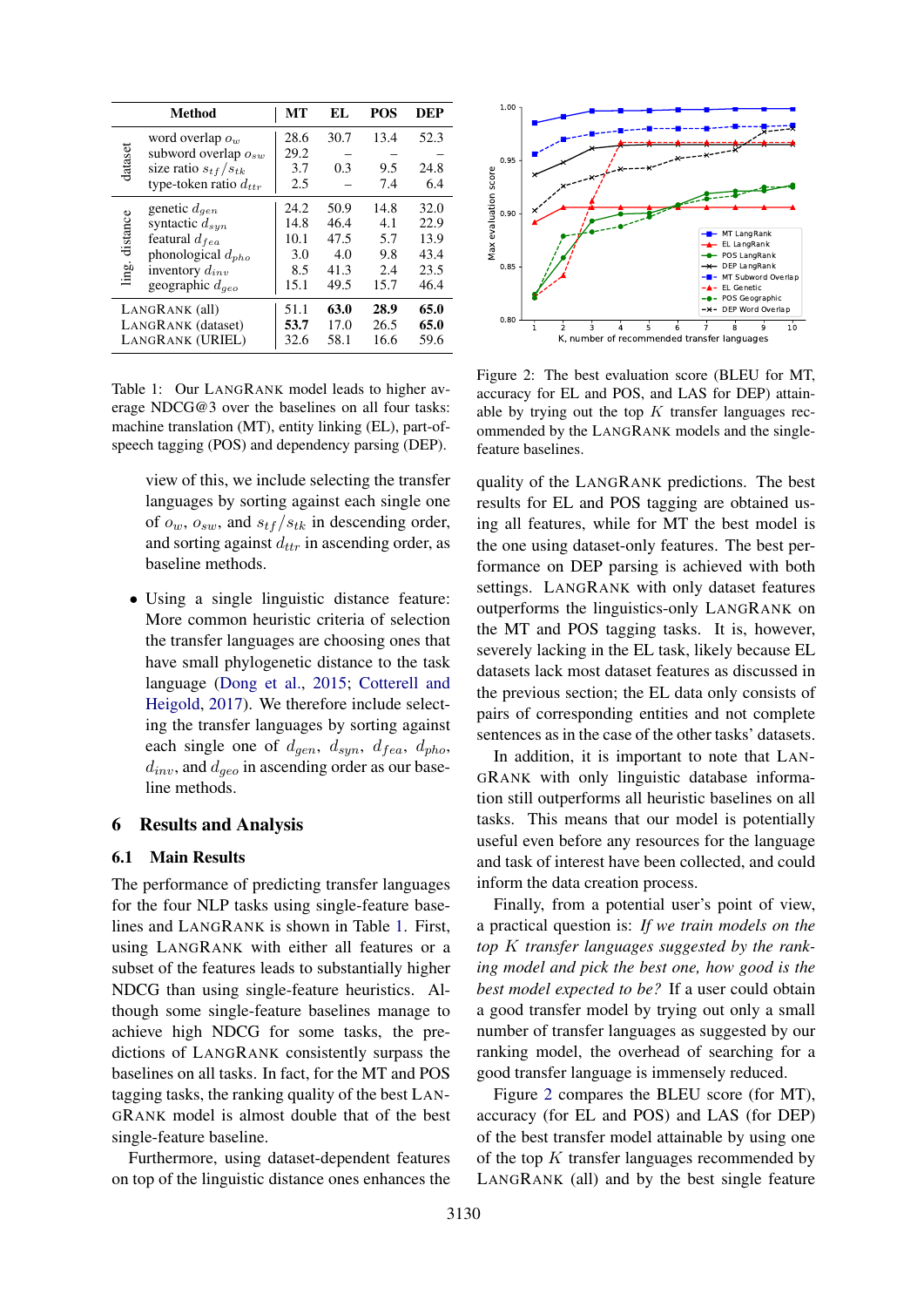<span id="page-5-0"></span>

|                    | <b>Method</b>               | МT   | EL.  | <b>POS</b> | DEP  |
|--------------------|-----------------------------|------|------|------------|------|
| dataset            | word overlap $o_w$          | 28.6 | 30.7 | 13.4       | 52.3 |
|                    | subword overlap $o_{sw}$    | 29.2 |      |            |      |
|                    | size ratio $s_{tf}/s_{tk}$  | 3.7  | 0.3  | 9.5        | 24.8 |
|                    | type-token ratio $d_{ttr}$  | 2.5  |      | 7.4        | 6.4  |
| distance<br>ling.  | genetic $d_{gen}$           | 24.2 | 50.9 | 14.8       | 32.0 |
|                    | syntactic $d_{syn}$         | 14.8 | 46.4 | 4.1        | 22.9 |
|                    | featural $d_{fea}$          | 10.1 | 47.5 | 5.7        | 13.9 |
|                    | phonological $d_{pho}$      | 3.0  | 4.0  | 9.8        | 43.4 |
|                    | inventory $d_{inv}$         | 8.5  | 41.3 | 2.4        | 23.5 |
|                    | geographic $d_{\text{gen}}$ | 15.1 | 49.5 | 15.7       | 46.4 |
| LANGRANK (all)     |                             | 51.1 | 63.0 | 28.9       | 65.0 |
| LANGRANK (dataset) |                             | 53.7 | 17.0 | 26.5       | 65.0 |
| LANGRANK (URIEL)   |                             | 32.6 | 58.1 | 16.6       | 59.6 |

Table 1: Our LANGRANK model leads to higher average NDCG@3 over the baselines on all four tasks: machine translation (MT), entity linking (EL), part-ofspeech tagging (POS) and dependency parsing (DEP).

view of this, we include selecting the transfer languages by sorting against each single one of  $o_w$ ,  $o_{sw}$ , and  $s_{tf}/s_{tk}$  in descending order, and sorting against  $d_{ttr}$  in ascending order, as baseline methods.

• Using a single linguistic distance feature: More common heuristic criteria of selection the transfer languages are choosing ones that have small phylogenetic distance to the task language [\(Dong et al.,](#page-8-4) [2015;](#page-8-4) [Cotterell and](#page-8-3) [Heigold,](#page-8-3) [2017\)](#page-8-3). We therefore include selecting the transfer languages by sorting against each single one of  $d_{gen}$ ,  $d_{syn}$ ,  $d_{fea}$ ,  $d_{pho}$ ,  $d_{inv}$ , and  $d_{geo}$  in ascending order as our baseline methods.

## 6 Results and Analysis

## 6.1 Main Results

The performance of predicting transfer languages for the four NLP tasks using single-feature baselines and LANGRANK is shown in Table [1.](#page-5-0) First, using LANGRANK with either all features or a subset of the features leads to substantially higher NDCG than using single-feature heuristics. Although some single-feature baselines manage to achieve high NDCG for some tasks, the predictions of LANGRANK consistently surpass the baselines on all tasks. In fact, for the MT and POS tagging tasks, the ranking quality of the best LAN-GRANK model is almost double that of the best single-feature baseline.

Furthermore, using dataset-dependent features on top of the linguistic distance ones enhances the

<span id="page-5-1"></span>

Figure 2: The best evaluation score (BLEU for MT, accuracy for EL and POS, and LAS for DEP) attainable by trying out the top  $K$  transfer languages recommended by the LANGRANK models and the singlefeature baselines.

quality of the LANGRANK predictions. The best results for EL and POS tagging are obtained using all features, while for MT the best model is the one using dataset-only features. The best performance on DEP parsing is achieved with both settings. LANGRANK with only dataset features outperforms the linguistics-only LANGRANK on the MT and POS tagging tasks. It is, however, severely lacking in the EL task, likely because EL datasets lack most dataset features as discussed in the previous section; the EL data only consists of pairs of corresponding entities and not complete sentences as in the case of the other tasks' datasets.

In addition, it is important to note that LAN-GRANK with only linguistic database information still outperforms all heuristic baselines on all tasks. This means that our model is potentially useful even before any resources for the language and task of interest have been collected, and could inform the data creation process.

Finally, from a potential user's point of view, a practical question is: *If we train models on the top* K *transfer languages suggested by the ranking model and pick the best one, how good is the best model expected to be?* If a user could obtain a good transfer model by trying out only a small number of transfer languages as suggested by our ranking model, the overhead of searching for a good transfer language is immensely reduced.

Figure [2](#page-5-1) compares the BLEU score (for MT), accuracy (for EL and POS) and LAS (for DEP) of the best transfer model attainable by using one of the top  $K$  transfer languages recommended by LANGRANK (all) and by the best single feature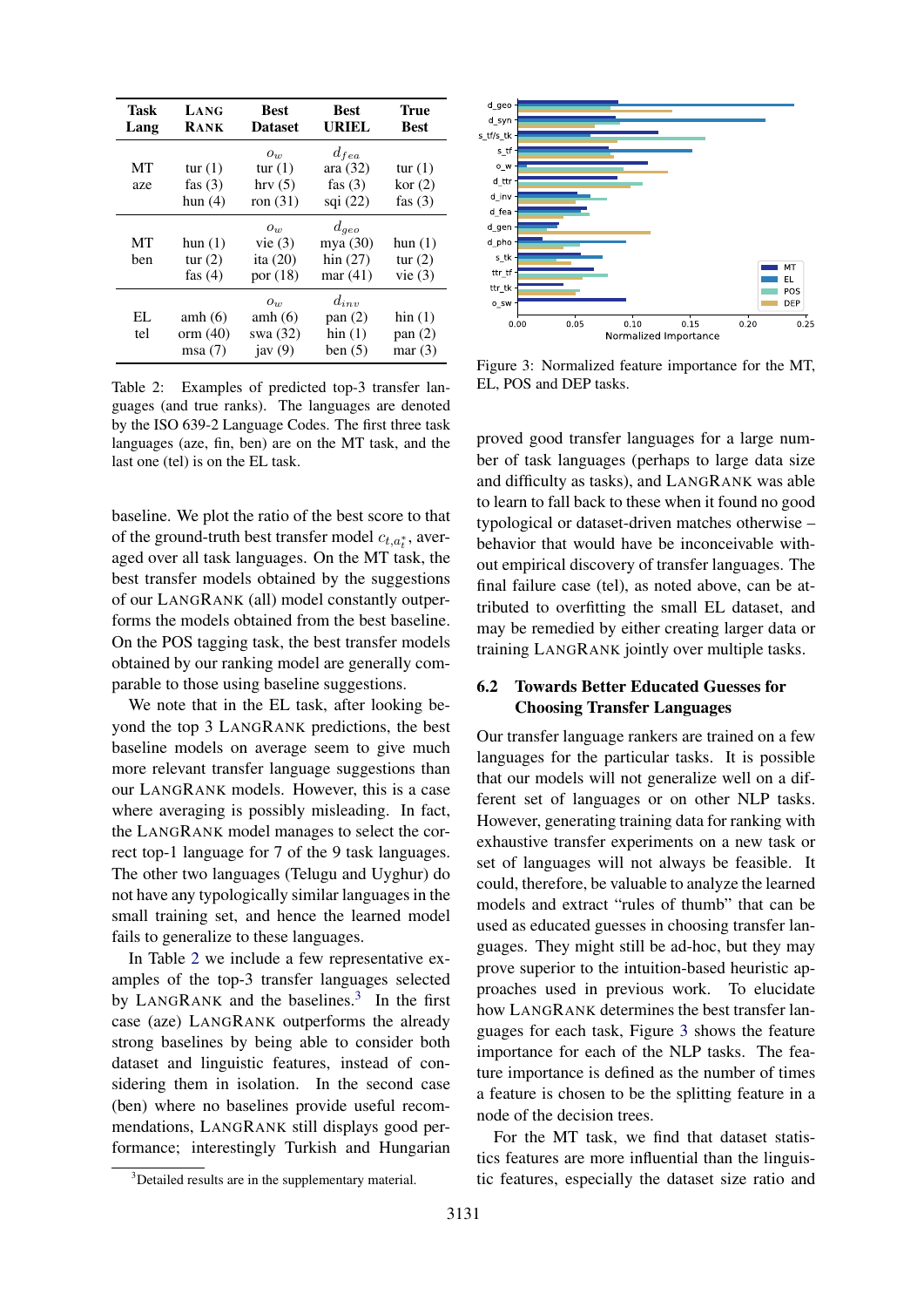<span id="page-6-1"></span>

| Task<br>Lang | LANG<br><b>RANK</b>                 | <b>Best</b><br><b>Dataset</b>                  | <b>Best</b><br><b>URIEL</b>                         | True<br><b>Best</b>                         |
|--------------|-------------------------------------|------------------------------------------------|-----------------------------------------------------|---------------------------------------------|
| MT<br>aze    | tur $(1)$<br>fas $(3)$<br>hun $(4)$ | $O_{11}$<br>tur $(1)$<br>hrv(5)<br>ron $(31)$  | $d_{fea}$<br>ara(32)<br>fas $(3)$<br>sqi $(22)$     | tur $(1)$<br>kor(2)<br>fas $(3)$            |
| MT<br>ben    | hun $(1)$<br>tur $(2)$<br>fas $(4)$ | $O_{10}$<br>vie(3)<br>ita $(20)$<br>por $(18)$ | $d_{qeo}$<br>mya $(30)$<br>hin $(27)$<br>mar $(41)$ | hun(1)<br>tur $(2)$<br>vie(3)               |
| EL.<br>tel   | amh $(6)$<br>orm $(40)$<br>msa(7)   | $O_{11}$<br>amh $(6)$<br>swa (32)<br>jav $(9)$ | $d_{inv}$<br>pan(2)<br>$\lim(1)$<br>ben $(5)$       | $\operatorname{hin}(1)$<br>pan(2)<br>mar(3) |

Table 2: Examples of predicted top-3 transfer languages (and true ranks). The languages are denoted by the ISO 639-2 Language Codes. The first three task languages (aze, fin, ben) are on the MT task, and the last one (tel) is on the EL task.

baseline. We plot the ratio of the best score to that of the ground-truth best transfer model  $c_{t,a_t^*}$ , averaged over all task languages. On the MT task, the best transfer models obtained by the suggestions of our LANGRANK (all) model constantly outperforms the models obtained from the best baseline. On the POS tagging task, the best transfer models obtained by our ranking model are generally comparable to those using baseline suggestions.

We note that in the EL task, after looking beyond the top 3 LANGRANK predictions, the best baseline models on average seem to give much more relevant transfer language suggestions than our LANGRANK models. However, this is a case where averaging is possibly misleading. In fact, the LANGRANK model manages to select the correct top-1 language for 7 of the 9 task languages. The other two languages (Telugu and Uyghur) do not have any typologically similar languages in the small training set, and hence the learned model fails to generalize to these languages.

In Table [2](#page-6-1) we include a few representative examples of the top-3 transfer languages selected by LANGRANK and the baselines. $3$  In the first case (aze) LANGRANK outperforms the already strong baselines by being able to consider both dataset and linguistic features, instead of considering them in isolation. In the second case (ben) where no baselines provide useful recommendations, LANGRANK still displays good performance; interestingly Turkish and Hungarian

<span id="page-6-3"></span>

Figure 3: Normalized feature importance for the MT, EL, POS and DEP tasks.

proved good transfer languages for a large number of task languages (perhaps to large data size and difficulty as tasks), and LANGRANK was able to learn to fall back to these when it found no good typological or dataset-driven matches otherwise – behavior that would have be inconceivable without empirical discovery of transfer languages. The final failure case (tel), as noted above, can be attributed to overfitting the small EL dataset, and may be remedied by either creating larger data or training LANGRANK jointly over multiple tasks.

## <span id="page-6-0"></span>6.2 Towards Better Educated Guesses for Choosing Transfer Languages

Our transfer language rankers are trained on a few languages for the particular tasks. It is possible that our models will not generalize well on a different set of languages or on other NLP tasks. However, generating training data for ranking with exhaustive transfer experiments on a new task or set of languages will not always be feasible. It could, therefore, be valuable to analyze the learned models and extract "rules of thumb" that can be used as educated guesses in choosing transfer languages. They might still be ad-hoc, but they may prove superior to the intuition-based heuristic approaches used in previous work. To elucidate how LANGRANK determines the best transfer languages for each task, Figure [3](#page-6-3) shows the feature importance for each of the NLP tasks. The feature importance is defined as the number of times a feature is chosen to be the splitting feature in a node of the decision trees.

For the MT task, we find that dataset statistics features are more influential than the linguistic features, especially the dataset size ratio and

<span id="page-6-2"></span><sup>&</sup>lt;sup>3</sup>Detailed results are in the supplementary material.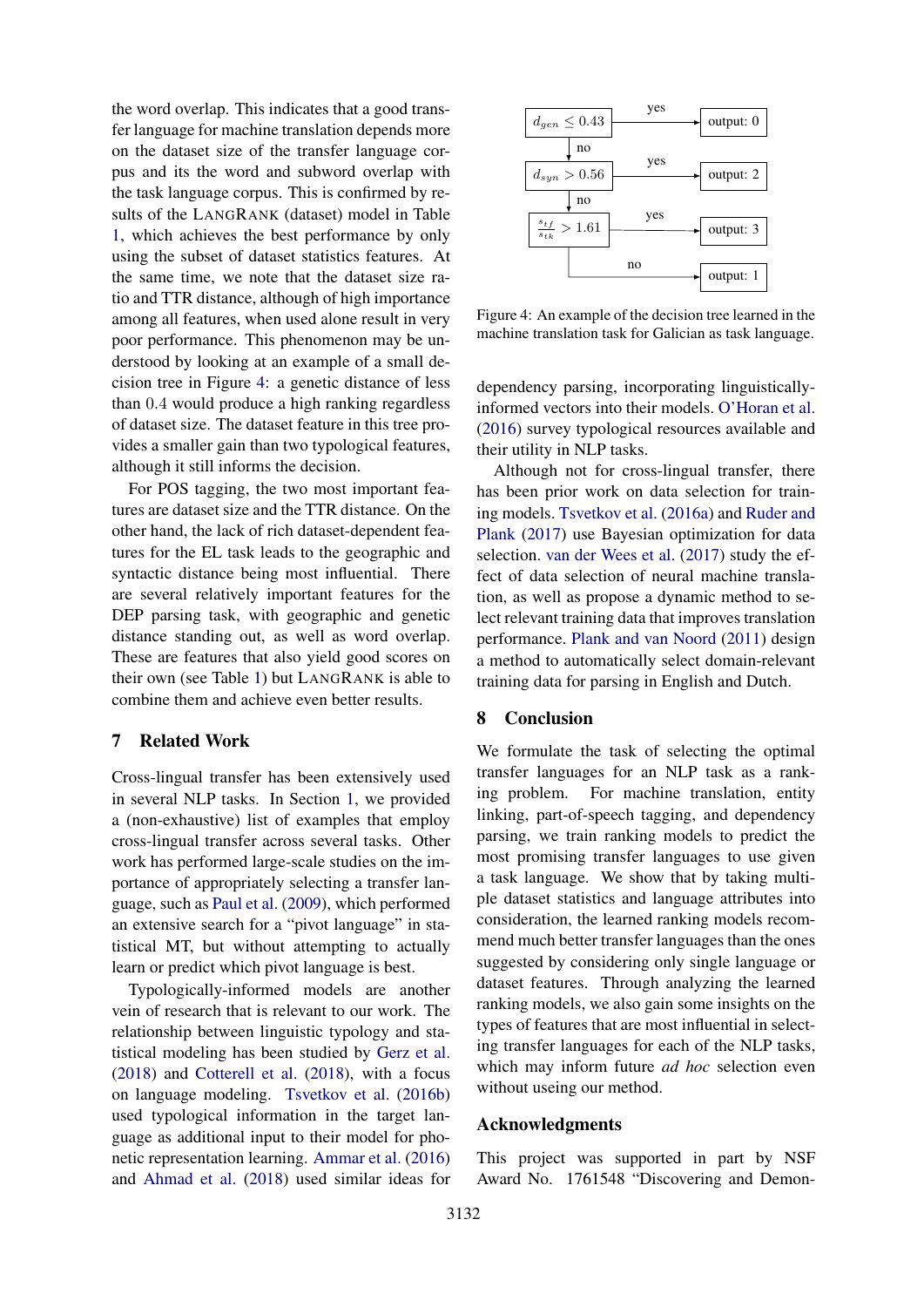the word overlap. This indicates that a good transfer language for machine translation depends more on the dataset size of the transfer language corpus and its the word and subword overlap with the task language corpus. This is confirmed by results of the LANGRANK (dataset) model in Table [1,](#page-5-0) which achieves the best performance by only using the subset of dataset statistics features. At the same time, we note that the dataset size ratio and TTR distance, although of high importance among all features, when used alone result in very poor performance. This phenomenon may be understood by looking at an example of a small decision tree in Figure [4:](#page-7-0) a genetic distance of less than 0.4 would produce a high ranking regardless of dataset size. The dataset feature in this tree provides a smaller gain than two typological features, although it still informs the decision.

For POS tagging, the two most important features are dataset size and the TTR distance. On the other hand, the lack of rich dataset-dependent features for the EL task leads to the geographic and syntactic distance being most influential. There are several relatively important features for the DEP parsing task, with geographic and genetic distance standing out, as well as word overlap. These are features that also yield good scores on their own (see Table [1\)](#page-5-0) but LANGRANK is able to combine them and achieve even better results.

## 7 Related Work

Cross-lingual transfer has been extensively used in several NLP tasks. In Section [1,](#page-0-2) we provided a (non-exhaustive) list of examples that employ cross-lingual transfer across several tasks. Other work has performed large-scale studies on the importance of appropriately selecting a transfer language, such as [Paul et al.](#page-9-15) [\(2009\)](#page-9-15), which performed an extensive search for a "pivot language" in statistical MT, but without attempting to actually learn or predict which pivot language is best.

Typologically-informed models are another vein of research that is relevant to our work. The relationship between linguistic typology and statistical modeling has been studied by [Gerz et al.](#page-8-16) [\(2018\)](#page-8-16) and [Cotterell et al.](#page-8-17) [\(2018\)](#page-8-17), with a focus on language modeling. [Tsvetkov et al.](#page-10-9) [\(2016b\)](#page-10-9) used typological information in the target language as additional input to their model for phonetic representation learning. [Ammar et al.](#page-8-1) [\(2016\)](#page-8-1) and [Ahmad et al.](#page-8-2) [\(2018\)](#page-8-2) used similar ideas for

<span id="page-7-0"></span>

Figure 4: An example of the decision tree learned in the machine translation task for Galician as task language.

dependency parsing, incorporating linguisticallyinformed vectors into their models. [O'Horan et al.](#page-9-16) [\(2016\)](#page-9-16) survey typological resources available and their utility in NLP tasks.

Although not for cross-lingual transfer, there has been prior work on data selection for training models. [Tsvetkov et al.](#page-10-10) [\(2016a\)](#page-10-10) and [Ruder and](#page-9-17) [Plank](#page-9-17) [\(2017\)](#page-9-17) use Bayesian optimization for data selection. [van der Wees et al.](#page-10-11) [\(2017\)](#page-10-11) study the effect of data selection of neural machine translation, as well as propose a dynamic method to select relevant training data that improves translation performance. [Plank and van Noord](#page-9-18) [\(2011\)](#page-9-18) design a method to automatically select domain-relevant training data for parsing in English and Dutch.

## 8 Conclusion

We formulate the task of selecting the optimal transfer languages for an NLP task as a ranking problem. For machine translation, entity linking, part-of-speech tagging, and dependency parsing, we train ranking models to predict the most promising transfer languages to use given a task language. We show that by taking multiple dataset statistics and language attributes into consideration, the learned ranking models recommend much better transfer languages than the ones suggested by considering only single language or dataset features. Through analyzing the learned ranking models, we also gain some insights on the types of features that are most influential in selecting transfer languages for each of the NLP tasks, which may inform future *ad hoc* selection even without useing our method.

## Acknowledgments

This project was supported in part by NSF Award No. 1761548 "Discovering and Demon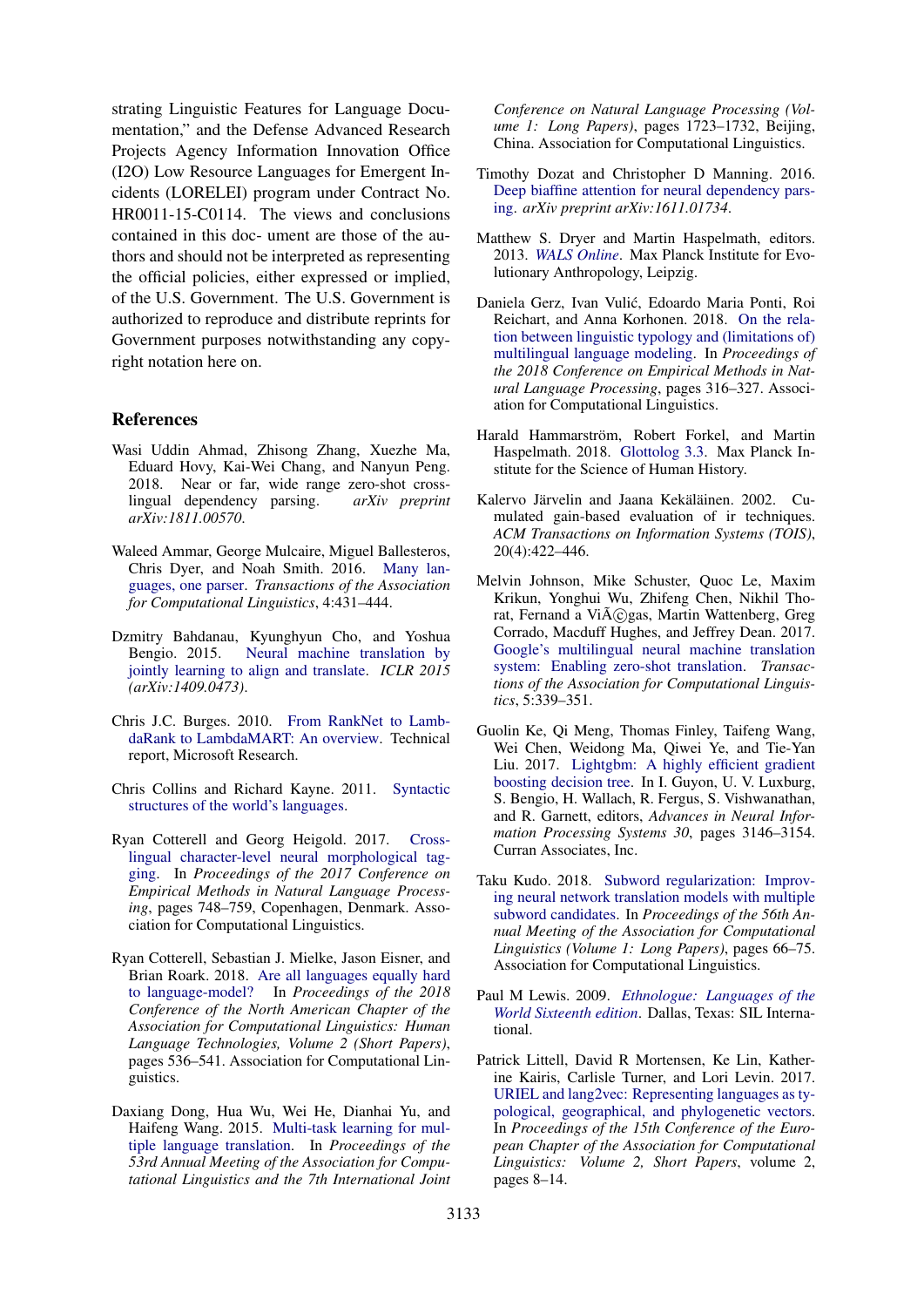strating Linguistic Features for Language Documentation," and the Defense Advanced Research Projects Agency Information Innovation Office (I2O) Low Resource Languages for Emergent Incidents (LORELEI) program under Contract No. HR0011-15-C0114. The views and conclusions contained in this doc- ument are those of the authors and should not be interpreted as representing the official policies, either expressed or implied, of the U.S. Government. The U.S. Government is authorized to reproduce and distribute reprints for Government purposes notwithstanding any copyright notation here on.

## References

- <span id="page-8-2"></span>Wasi Uddin Ahmad, Zhisong Zhang, Xuezhe Ma, Eduard Hovy, Kai-Wei Chang, and Nanyun Peng. 2018. Near or far, wide range zero-shot crosslingual dependency parsing. *arXiv preprint arXiv:1811.00570*.
- <span id="page-8-1"></span>Waleed Ammar, George Mulcaire, Miguel Ballesteros, Chris Dyer, and Noah Smith. 2016. [Many lan](https://www.transacl.org/ojs/index.php/tacl/article/view/892)[guages, one parser.](https://www.transacl.org/ojs/index.php/tacl/article/view/892) *Transactions of the Association for Computational Linguistics*, 4:431–444.
- <span id="page-8-13"></span>Dzmitry Bahdanau, Kyunghyun Cho, and Yoshua Bengio. 2015. [Neural machine translation by](https://arxiv.org/abs/1409.0473) [jointly learning to align and translate.](https://arxiv.org/abs/1409.0473) *ICLR 2015 (arXiv:1409.0473)*.
- <span id="page-8-12"></span>Chris J.C. Burges. 2010. [From RankNet to Lamb](https://www.microsoft.com/en-us/research/publication/from-ranknet-to-lambdarank-to-lambdamart-an-overview/)[daRank to LambdaMART: An overview.](https://www.microsoft.com/en-us/research/publication/from-ranknet-to-lambdarank-to-lambdamart-an-overview/) Technical report, Microsoft Research.
- <span id="page-8-9"></span>Chris Collins and Richard Kayne. 2011. [Syntactic](http://sswl.railsplayground.net) [structures of the world's languages.](http://sswl.railsplayground.net)
- <span id="page-8-3"></span>Ryan Cotterell and Georg Heigold. 2017. [Cross](https://www.aclweb.org/anthology/D17-1078)[lingual character-level neural morphological tag](https://www.aclweb.org/anthology/D17-1078)[ging.](https://www.aclweb.org/anthology/D17-1078) In *Proceedings of the 2017 Conference on Empirical Methods in Natural Language Processing*, pages 748–759, Copenhagen, Denmark. Association for Computational Linguistics.
- <span id="page-8-17"></span>Ryan Cotterell, Sebastian J. Mielke, Jason Eisner, and Brian Roark. 2018. [Are all languages equally hard](https://doi.org/10.18653/v1/N18-2085) [to language-model?](https://doi.org/10.18653/v1/N18-2085) In *Proceedings of the 2018 Conference of the North American Chapter of the Association for Computational Linguistics: Human Language Technologies, Volume 2 (Short Papers)*, pages 536–541. Association for Computational Linguistics.
- <span id="page-8-4"></span>Daxiang Dong, Hua Wu, Wei He, Dianhai Yu, and Haifeng Wang. 2015. [Multi-task learning for mul](http://www.aclweb.org/anthology/P15-1166)[tiple language translation.](http://www.aclweb.org/anthology/P15-1166) In *Proceedings of the 53rd Annual Meeting of the Association for Computational Linguistics and the 7th International Joint*

*Conference on Natural Language Processing (Volume 1: Long Papers)*, pages 1723–1732, Beijing, China. Association for Computational Linguistics.

- <span id="page-8-14"></span>Timothy Dozat and Christopher D Manning. 2016. [Deep biaffine attention for neural dependency pars](https://arxiv.org/abs/1611.01734)[ing.](https://arxiv.org/abs/1611.01734) *arXiv preprint arXiv:1611.01734*.
- <span id="page-8-10"></span>Matthew S. Dryer and Martin Haspelmath, editors. 2013. *[WALS Online](https://wals.info/)*. Max Planck Institute for Evolutionary Anthropology, Leipzig.
- <span id="page-8-16"></span>Daniela Gerz, Ivan Vulic, Edoardo Maria Ponti, Roi ´ Reichart, and Anna Korhonen. 2018. [On the rela](http://aclweb.org/anthology/D18-1029)[tion between linguistic typology and \(limitations of\)](http://aclweb.org/anthology/D18-1029) [multilingual language modeling.](http://aclweb.org/anthology/D18-1029) In *Proceedings of the 2018 Conference on Empirical Methods in Natural Language Processing*, pages 316–327. Association for Computational Linguistics.
- <span id="page-8-8"></span>Harald Hammarström, Robert Forkel, and Martin Haspelmath. 2018. [Glottolog 3.3.](https://glottolog.org/ accessed 2018-12-09) Max Planck Institute for the Science of Human History.
- <span id="page-8-15"></span>Kalervo Järvelin and Jaana Kekäläinen. 2002. Cumulated gain-based evaluation of ir techniques. *ACM Transactions on Information Systems (TOIS)*, 20(4):422–446.
- <span id="page-8-0"></span>Melvin Johnson, Mike Schuster, Quoc Le, Maxim Krikun, Yonghui Wu, Zhifeng Chen, Nikhil Thorat, Fernand a Vi $\tilde{A}$ ©gas, Martin Wattenberg, Greg Corrado, Macduff Hughes, and Jeffrey Dean. 2017. [Google's multilingual neural machine translation](https://transacl.org/ojs/index.php/tacl/article/view/1081) [system: Enabling zero-shot translation.](https://transacl.org/ojs/index.php/tacl/article/view/1081) *Transactions of the Association for Computational Linguistics*, 5:339–351.
- <span id="page-8-5"></span>Guolin Ke, Qi Meng, Thomas Finley, Taifeng Wang, Wei Chen, Weidong Ma, Qiwei Ye, and Tie-Yan Liu. 2017. [Lightgbm: A highly efficient gradient](http://papers.nips.cc/paper/6907-lightgbm-a-highly-efficient-gradient-boosting-decision-tree.pdf) [boosting decision tree.](http://papers.nips.cc/paper/6907-lightgbm-a-highly-efficient-gradient-boosting-decision-tree.pdf) In I. Guyon, U. V. Luxburg, S. Bengio, H. Wallach, R. Fergus, S. Vishwanathan, and R. Garnett, editors, *Advances in Neural Information Processing Systems 30*, pages 3146–3154. Curran Associates, Inc.
- <span id="page-8-6"></span>Taku Kudo. 2018. [Subword regularization: Improv](http://aclweb.org/anthology/P18-1007)[ing neural network translation models with multiple](http://aclweb.org/anthology/P18-1007) [subword candidates.](http://aclweb.org/anthology/P18-1007) In *Proceedings of the 56th Annual Meeting of the Association for Computational Linguistics (Volume 1: Long Papers)*, pages 66–75. Association for Computational Linguistics.
- <span id="page-8-11"></span>Paul M Lewis. 2009. *[Ethnologue: Languages of the](http://www.ethnologue.com/16) [World Sixteenth edition](http://www.ethnologue.com/16)*. Dallas, Texas: SIL International.
- <span id="page-8-7"></span>Patrick Littell, David R Mortensen, Ke Lin, Katherine Kairis, Carlisle Turner, and Lori Levin. 2017. [URIEL and lang2vec: Representing languages as ty](http://www.aclweb.org/anthology/E17-2002)[pological, geographical, and phylogenetic vectors.](http://www.aclweb.org/anthology/E17-2002) In *Proceedings of the 15th Conference of the European Chapter of the Association for Computational Linguistics: Volume 2, Short Papers*, volume 2, pages 8–14.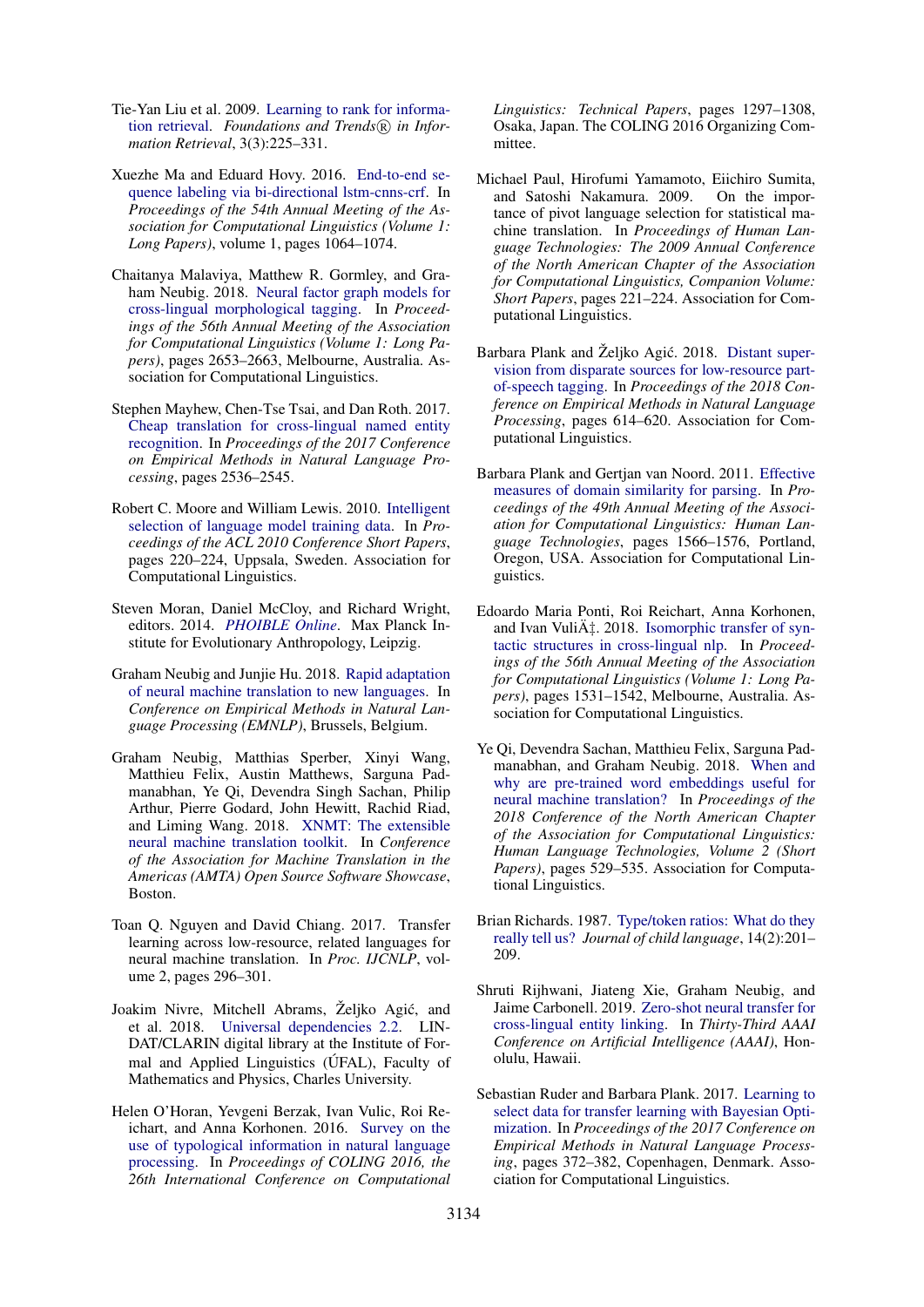- <span id="page-9-7"></span>Tie-Yan Liu et al. 2009. [Learning to rank for informa](https://www.nowpublishers.com/article/Details/INR-016)[tion retrieval.](https://www.nowpublishers.com/article/Details/INR-016) Foundations and Trends<sup>(R)</sup> in Infor*mation Retrieval*, 3(3):225–331.
- <span id="page-9-12"></span>Xuezhe Ma and Eduard Hovy. 2016. [End-to-end se](https://arxiv.org/abs/1603.01354)[quence labeling via bi-directional lstm-cnns-crf.](https://arxiv.org/abs/1603.01354) In *Proceedings of the 54th Annual Meeting of the Association for Computational Linguistics (Volume 1: Long Papers)*, volume 1, pages 1064–1074.
- <span id="page-9-3"></span>Chaitanya Malaviya, Matthew R. Gormley, and Graham Neubig. 2018. [Neural factor graph models for](http://www.aclweb.org/anthology/P18-1247) [cross-lingual morphological tagging.](http://www.aclweb.org/anthology/P18-1247) In *Proceedings of the 56th Annual Meeting of the Association for Computational Linguistics (Volume 1: Long Papers)*, pages 2653–2663, Melbourne, Australia. Association for Computational Linguistics.
- <span id="page-9-5"></span>Stephen Mayhew, Chen-Tse Tsai, and Dan Roth. 2017. [Cheap translation for cross-lingual named entity](http://www.aclweb.org/anthology/D17-1269) [recognition.](http://www.aclweb.org/anthology/D17-1269) In *Proceedings of the 2017 Conference on Empirical Methods in Natural Language Processing*, pages 2536–2545.
- <span id="page-9-14"></span>Robert C. Moore and William Lewis. 2010. [Intelligent](http://www.aclweb.org/anthology/P10-2041) [selection of language model training data.](http://www.aclweb.org/anthology/P10-2041) In *Proceedings of the ACL 2010 Conference Short Papers*, pages 220–224, Uppsala, Sweden. Association for Computational Linguistics.
- <span id="page-9-9"></span>Steven Moran, Daniel McCloy, and Richard Wright, editors. 2014. *[PHOIBLE Online](https://phoible.org/)*. Max Planck Institute for Evolutionary Anthropology, Leipzig.
- <span id="page-9-1"></span>Graham Neubig and Junjie Hu. 2018. [Rapid adaptation](http://www.phontron.com/paper/neubig18emnlp.pdf) [of neural machine translation to new languages.](http://www.phontron.com/paper/neubig18emnlp.pdf) In *Conference on Empirical Methods in Natural Language Processing (EMNLP)*, Brussels, Belgium.
- <span id="page-9-10"></span>Graham Neubig, Matthias Sperber, Xinyi Wang, Matthieu Felix, Austin Matthews, Sarguna Padmanabhan, Ye Qi, Devendra Singh Sachan, Philip Arthur, Pierre Godard, John Hewitt, Rachid Riad, and Liming Wang. 2018. [XNMT: The extensible](https://arxiv.org/pdf/1803.00188.pdf) [neural machine translation toolkit.](https://arxiv.org/pdf/1803.00188.pdf) In *Conference of the Association for Machine Translation in the Americas (AMTA) Open Source Software Showcase*, Boston.
- <span id="page-9-0"></span>Toan Q. Nguyen and David Chiang. 2017. Transfer learning across low-resource, related languages for neural machine translation. In *Proc. IJCNLP*, volume 2, pages 296–301.
- <span id="page-9-13"></span>Joakim Nivre, Mitchell Abrams, Željko Agić, and et al. 2018. [Universal dependencies 2.2.](http://hdl.handle.net/11234/1-2837) LIN-DAT/CLARIN digital library at the Institute of Formal and Applied Linguistics (UFAL), Faculty of Mathematics and Physics, Charles University.
- <span id="page-9-16"></span>Helen O'Horan, Yevgeni Berzak, Ivan Vulic, Roi Reichart, and Anna Korhonen. 2016. [Survey on the](http://aclweb.org/anthology/C16-1123) [use of typological information in natural language](http://aclweb.org/anthology/C16-1123) [processing.](http://aclweb.org/anthology/C16-1123) In *Proceedings of COLING 2016, the 26th International Conference on Computational*

*Linguistics: Technical Papers*, pages 1297–1308, Osaka, Japan. The COLING 2016 Organizing Committee.

- <span id="page-9-15"></span>Michael Paul, Hirofumi Yamamoto, Eiichiro Sumita, and Satoshi Nakamura. 2009. On the importance of pivot language selection for statistical machine translation. In *Proceedings of Human Language Technologies: The 2009 Annual Conference of the North American Chapter of the Association for Computational Linguistics, Companion Volume: Short Papers*, pages 221–224. Association for Computational Linguistics.
- <span id="page-9-4"></span>Barbara Plank and Željko Agić, 2018. [Distant super](http://aclweb.org/anthology/D18-1061)[vision from disparate sources for low-resource part](http://aclweb.org/anthology/D18-1061)[of-speech tagging.](http://aclweb.org/anthology/D18-1061) In *Proceedings of the 2018 Conference on Empirical Methods in Natural Language Processing*, pages 614–620. Association for Computational Linguistics.
- <span id="page-9-18"></span>Barbara Plank and Gertjan van Noord. 2011. [Effective](http://www.aclweb.org/anthology/P11-1157) [measures of domain similarity for parsing.](http://www.aclweb.org/anthology/P11-1157) In *Proceedings of the 49th Annual Meeting of the Association for Computational Linguistics: Human Language Technologies*, pages 1566–1576, Portland, Oregon, USA. Association for Computational Linguistics.
- <span id="page-9-2"></span>Edoardo Maria Ponti, Roi Reichart, Anna Korhonen, and Ivan Vulić. 2018. [Isomorphic transfer of syn](http://www.aclweb.org/anthology/P18-1142)[tactic structures in cross-lingual nlp.](http://www.aclweb.org/anthology/P18-1142) In *Proceedings of the 56th Annual Meeting of the Association for Computational Linguistics (Volume 1: Long Papers)*, pages 1531–1542, Melbourne, Australia. Association for Computational Linguistics.
- <span id="page-9-11"></span>Ye Qi, Devendra Sachan, Matthieu Felix, Sarguna Padmanabhan, and Graham Neubig. 2018. [When and](https://doi.org/10.18653/v1/N18-2084) [why are pre-trained word embeddings useful for](https://doi.org/10.18653/v1/N18-2084) [neural machine translation?](https://doi.org/10.18653/v1/N18-2084) In *Proceedings of the 2018 Conference of the North American Chapter of the Association for Computational Linguistics: Human Language Technologies, Volume 2 (Short Papers)*, pages 529–535. Association for Computational Linguistics.
- <span id="page-9-8"></span>Brian Richards. 1987. [Type/token ratios: What do they](https://www.cambridge.org/core/journals/journal-of-child-language/article/typetoken-ratios-what-do-they-really-tell-us/B15717A4D91390ED7E2F2DA143BA1DDB) [really tell us?](https://www.cambridge.org/core/journals/journal-of-child-language/article/typetoken-ratios-what-do-they-really-tell-us/B15717A4D91390ED7E2F2DA143BA1DDB) *Journal of child language*, 14(2):201– 209.
- <span id="page-9-6"></span>Shruti Rijhwani, Jiateng Xie, Graham Neubig, and Jaime Carbonell. 2019. [Zero-shot neural transfer for](https://arxiv.org/abs/1811.04154) [cross-lingual entity linking.](https://arxiv.org/abs/1811.04154) In *Thirty-Third AAAI Conference on Artificial Intelligence (AAAI)*, Honolulu, Hawaii.
- <span id="page-9-17"></span>Sebastian Ruder and Barbara Plank. 2017. [Learning to](https://doi.org/10.18653/v1/D17-1038) [select data for transfer learning with Bayesian Opti](https://doi.org/10.18653/v1/D17-1038)[mization.](https://doi.org/10.18653/v1/D17-1038) In *Proceedings of the 2017 Conference on Empirical Methods in Natural Language Processing*, pages 372–382, Copenhagen, Denmark. Association for Computational Linguistics.